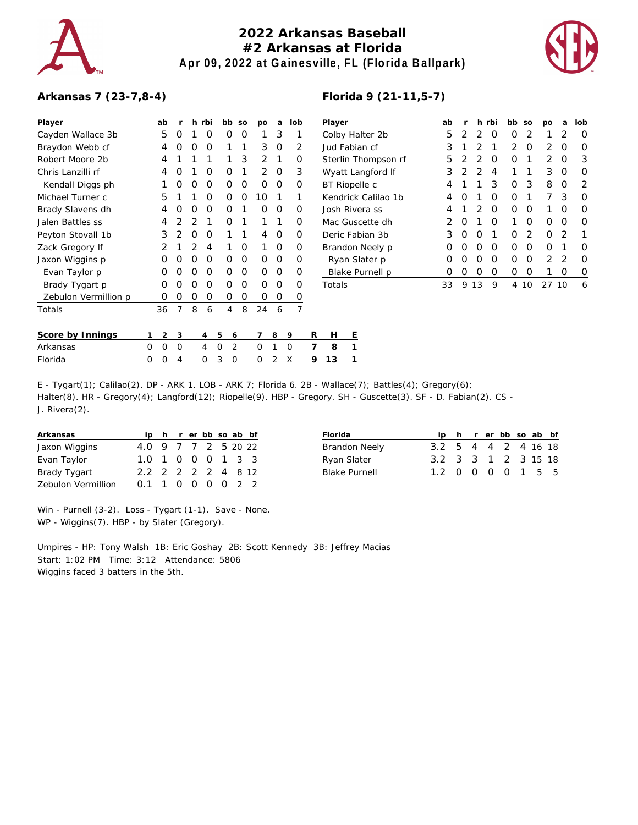

## **2022 Arkansas Baseball #2 Arkansas at Florida Apr 09, 2022 at Gainesville, FL (Florida Ballpark)**



## **Arkansas 7 (23-7,8-4)**

| Player               |   | ab | r              |                | h rbi |   | bb             | <b>SO</b> | po            | а | lob      |   | Player          |   |
|----------------------|---|----|----------------|----------------|-------|---|----------------|-----------|---------------|---|----------|---|-----------------|---|
| Cayden Wallace 3b    |   | 5  | O              | 1              | O     |   | O              | O         | 1             | 3 | 1        |   | Colby Ha        |   |
| Braydon Webb cf      |   | 4  | Ω              | O              | O     |   | 1              | 1         | 3             | O | 2        |   | Jud Fabi        |   |
| Robert Moore 2b      |   | 4  | 1              | 1              | 1     |   | 1              | 3         | $\mathcal{P}$ | 1 | O        |   | Sterlin T       |   |
| Chris Lanzilli rf    |   | 4  | Ω              | 1              | O     |   | O              | 1         | $\mathcal{P}$ | O | 3        |   | Wyatt La        |   |
| Kendall Diggs ph     |   | 1  | Ω              | O              | O     |   | O              | O         | O             | Ο | Ο        |   | <b>BT</b> Riope |   |
| Michael Turner c     |   | 5  | 1              | 1              | 0     |   | O              | O         | 10            | 1 | 1        |   | Kendrick        |   |
| Brady Slavens dh     |   | 4  | Ω              | 0              | O     |   | O              | 1         | O             | O | Ο        |   | Josh Riv        |   |
| Jalen Battles ss     |   | 4  | 2              | 2              | 1     |   | O              | 1         | 1             | 1 | Ο        |   | Mac Gus         |   |
| Peyton Stovall 1b    |   | 3  | $\mathfrak{D}$ | 0              | O     |   | 1              | 1         | 4             | O | Ο        |   | Deric Fa        |   |
| Zack Gregory If      |   | 2  | 1              | $\overline{2}$ | 4     |   | 1              | O         | 1             | O | Ω        |   | Brandon         |   |
| Jaxon Wiggins p      |   | O  | Ω              | O              | O     |   | O              | O         | O             | O | Ω        |   | Ryan S          |   |
| Evan Taylor p        |   | O  | Ω              | 0              | O     |   | O              | O         | O             | O | Ο        |   | <b>Blake</b> F  |   |
| Brady Tygart p       |   | O  | Ω              | O              | O     |   | O              | O         | O             | O | Ω        |   | Totals          |   |
| Zebulon Vermillion p |   | Ω  | Ω              | O              | 0     |   | Ο              | O         | Ω             | Ο | 0        |   |                 |   |
| Totals               |   | 36 | 7              | 8              | 6     |   | 4              | 8         | 24            | 6 | 7        |   |                 |   |
| Score by Innings     | 1 | 2  | 3              |                | 4     | 5 | 6              |           | 7             | 8 | 9        | R | н               | Ε |
| Arkansas             | O | O  | O              |                | 4     | O | $\overline{2}$ |           | O             | 1 | $\Omega$ | 7 | 8               | 1 |
| Florida              | O | O  | 4              |                | Ω     | 3 | O              |           | 0             | 2 | X        | 9 | 13              | 1 |

| Player               | ab | r             |               | h rbi | bb | <b>SO</b> | po            | a             | lob              |
|----------------------|----|---------------|---------------|-------|----|-----------|---------------|---------------|------------------|
| Colby Halter 2b      | 5  | $\mathcal{P}$ | 2             | O     | Ω  | 2         | 1             | $\mathcal{P}$ | O                |
| Jud Fabian cf        | 3  | 1             | 2             | 1     | 2  | O         | 2             | Ω             | Ω                |
| Sterlin Thompson rf  | 5  | 2             | 2             | Ω     | Ω  | 1         | $\mathcal{P}$ | O             | 3                |
| Wyatt Langford If    | 3  | 2             | $\mathcal{P}$ | 4     | 1  | 1         | 3             | O             | O                |
| <b>BT</b> Riopelle c | 4  | 1             | 1             | 3     | Ω  | 3         | 8             | O             | 2                |
| Kendrick Calilao 1b  | 4  | 0             | 1             | Ω     | Ω  | 1         | 7             | 3             | O                |
| Josh Rivera ss       | 4  | 1             | 2             | O     | Ω  | O         | 1             | ∩             | O                |
| Mac Guscette dh      | 2  | O             | 1             | Ω     | 1  | Ω         | O             | O             | $\left( \right)$ |
| Deric Fabian 3b      | 3  | 0             | Ω             | 1     | Ω  | 2         | O             | 2             | 1                |
| Brandon Neely p      | Ω  | 0             | Ω             | O     | Ω  | O         | O             | 1             | $\left( \right)$ |
| Ryan Slater p        | Ω  | O             | Ω             | O     | Ω  | O         | $\mathcal{P}$ | 2             | Ω                |
| Blake Purnell p      | 0  | O             | Ω             | O     | Ω  | Ω         |               | Ω             | O                |
| Totals               | 33 | 9             | 13            | 9     | 4  | 10        | 27            | 10            | 6                |
|                      |    |               |               |       |    |           |               |               |                  |

E - Tygart(1); Calilao(2). DP - ARK 1. LOB - ARK 7; Florida 6. 2B - Wallace(7); Battles(4); Gregory(6); Halter(8). HR - Gregory(4); Langford(12); Riopelle(9). HBP - Gregory. SH - Guscette(3). SF - D. Fabian(2). CS - J. Rivera(2).

| Arkansas           |                     |  |  |  | ip h r er bb so ab bf |  |
|--------------------|---------------------|--|--|--|-----------------------|--|
| Jaxon Wiggins      | 4.0 9 7 7 2 5 20 22 |  |  |  |                       |  |
| Evan Taylor        | 1.0 1 0 0 0 1 3 3   |  |  |  |                       |  |
| Brady Tygart       | 2.2 2 2 2 2 4 8 12  |  |  |  |                       |  |
| Zebulon Vermillion | $0.1$ 1 0 0 0 0 2 2 |  |  |  |                       |  |

| Florida       |                     |  |  | ip h r er bb so ab bf |  |
|---------------|---------------------|--|--|-----------------------|--|
| Brandon Neely | 3.2 5 4 4 2 4 16 18 |  |  |                       |  |
| Ryan Slater   | 3.2 3 3 1 2 3 15 18 |  |  |                       |  |
| Blake Purnell | 1.2 0 0 0 0 1 5 5   |  |  |                       |  |
|               |                     |  |  |                       |  |

Win - Purnell (3-2). Loss - Tygart (1-1). Save - None. WP - Wiggins(7). HBP - by Slater (Gregory).

Umpires - HP: Tony Walsh 1B: Eric Goshay 2B: Scott Kennedy 3B: Jeffrey Macias Start: 1:02 PM Time: 3:12 Attendance: 5806 Wiggins faced 3 batters in the 5th.